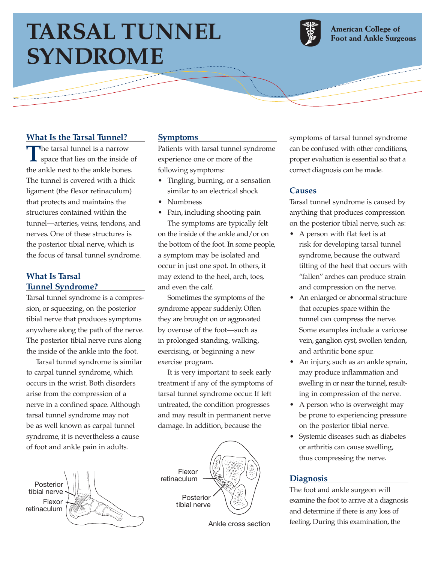# **TARSAL TUNNEL SYNDROME**



**American College of Foot and Ankle Surgeons** 

**Contraction Contract** 

## **What Is the Tarsal Tunnel?**

 $\overline{\phantom{a}}$ 

The tarsal tunnel is a narrow<br>space that lies on the inside of the ankle next to the ankle bones. The tunnel is covered with a thick ligament (the flexor retinaculum) that protects and maintains the structures contained within the tunnel—arteries, veins, tendons, and nerves. One of these structures is the posterior tibial nerve, which is the focus of tarsal tunnel syndrome.

## **What Is Tarsal Tunnel Syndrome?**

Tarsal tunnel syndrome is a compression, or squeezing, on the posterior tibial nerve that produces symptoms anywhere along the path of the nerve. The posterior tibial nerve runs along the inside of the ankle into the foot.

Tarsal tunnel syndrome is similar to carpal tunnel syndrome, which occurs in the wrist. Both disorders arise from the compression of a nerve in a confined space. Although tarsal tunnel syndrome may not be as well known as carpal tunnel syndrome, it is nevertheless a cause of foot and ankle pain in adults.



#### **Symptoms**

Patients with tarsal tunnel syndrome experience one or more of the following symptoms:

- Tingling, burning, or a sensation similar to an electrical shock
- Numbness
- Pain, including shooting pain The symptoms are typically felt on the inside of the ankle and/or on the bottom of the foot. In some people, a symptom may be isolated and occur in just one spot. In others, it may extend to the heel, arch, toes, and even the calf.

Sometimes the symptoms of the syndrome appear suddenly. Often they are brought on or aggravated by overuse of the foot—such as in prolonged standing, walking, exercising, or beginning a new exercise program.

It is very important to seek early treatment if any of the symptoms of tarsal tunnel syndrome occur. If left untreated, the condition progresses and may result in permanent nerve damage. In addition, because the



Ankle cross section

symptoms of tarsal tunnel syndrome can be confused with other conditions, proper evaluation is essential so that a correct diagnosis can be made.

#### **Causes**

Tarsal tunnel syndrome is caused by anything that produces compression on the posterior tibial nerve, such as:

- A person with flat feet is at risk for developing tarsal tunnel syndrome, because the outward tilting of the heel that occurs with "fallen" arches can produce strain and compression on the nerve.
- An enlarged or abnormal structure that occupies space within the tunnel can compress the nerve. Some examples include a varicose vein, ganglion cyst, swollen tendon, and arthritic bone spur.
- An injury, such as an ankle sprain, may produce inflammation and swelling in or near the tunnel, resulting in compression of the nerve.
- A person who is overweight may be prone to experiencing pressure on the posterior tibial nerve.
- Systemic diseases such as diabetes or arthritis can cause swelling, thus compressing the nerve.

### **Diagnosis**

The foot and ankle surgeon will examine the foot to arrive at a diagnosis and determine if there is any loss of feeling. During this examination, the